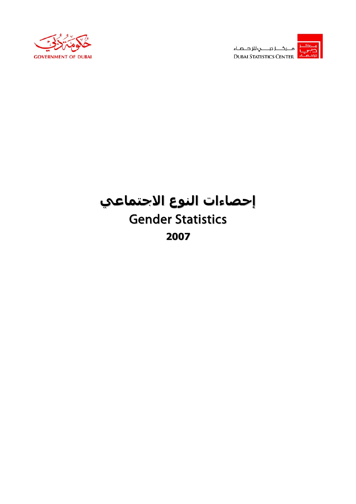

<mark>.</mark> مـــرکـــــز دبـــــــــــن للإ دـــــصـــاء **DUBAI STATISTICS CENTER** 



# **إحصاءات إحصاءات النوع الاجتماعي الاجتماعي** Gender Statistics **2007**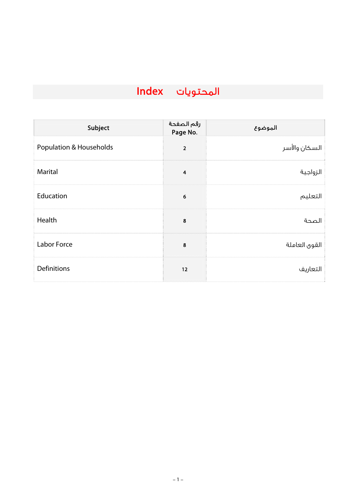# المحتويات Index

| Subject                            | رقم الصفحة<br>Page No.  | الموضوع       |
|------------------------------------|-------------------------|---------------|
| <b>Population &amp; Households</b> | $\overline{2}$          | السكان والأسر |
| Marital                            | $\overline{\mathbf{4}}$ | الزواجية      |
| Education                          | 6                       | التعليم       |
| Health                             | 8                       | الصحة         |
| <b>Labor Force</b>                 | 8                       | القوى العاملة |
| <b>Definitions</b>                 | 12                      | التعاريف      |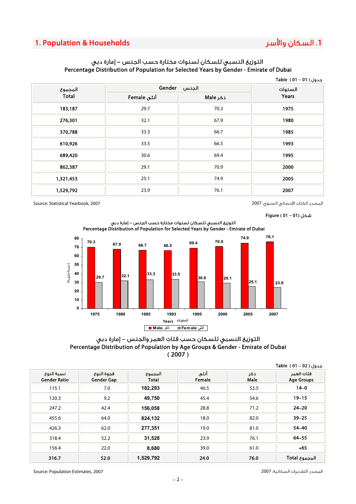# التوزيع النسبي للسكان لسنوات مختارة حسب الجنس - إمارة دبي Percentage Distribution of Population for Selected Years by Gender - Emirate of Dubai

|              |             |          | Fable (01 - 01) |
|--------------|-------------|----------|-----------------|
| المجموع      | Gender      | الجنس    | السنوات         |
| <b>Total</b> | أنثى Female | ذكر Male | Years           |
| 183,187      | 29.7        | 70.3     | 1975            |
| 276,301      | 32.1        | 67.9     | 1980            |
| 370,788      | 33.3        | 66.7     | 1985            |
| 610,926      | 33.5        | 66.5     | 1993            |
| 689,420      | 30.6        | 69.4     | 1995            |
| 862,387      | 29.1        | 70.9     | 2000            |
| 1,321,453    | 25.1        | 74.9     | 2005            |
| 1,529,792    | 23.9        | 76.1     | 2007            |

المصدر: الكتاب الإحصائي السنوي، 2007 2007 ,Yearbook Statistical :Source







|                                   |                          |                         |                |             | جدول ( 02 – 01 ) Table          |
|-----------------------------------|--------------------------|-------------------------|----------------|-------------|---------------------------------|
| نسبة النوع<br><b>Gender Ratio</b> | فجوة النوع<br>Gender Gap | المجموع<br><b>Total</b> | أنثى<br>Female | ذكر<br>Male | فئات العمر<br><b>Age Groups</b> |
| 115.1                             | 7.0                      | 182,293                 | 46.5           | 53.5        | $14 - 0$                        |
| 120.3                             | 9.2                      | 49,750                  | 45.4           | 54.6        | $19 - 15$                       |
| 247.2                             | 42.4                     | 156,058                 | 28.8           | 71.2        | $24 - 20$                       |
| 455.6                             | 64.0                     | 824,132                 | 18.0           | 82.0        | $39 - 25$                       |
| 426.3                             | 62.0                     | 277,351                 | 19.0           | 81.0        | 54-40                           |
| 318.4                             | 52.2                     | 31,528                  | 23.9           | 76.1        | $64 - 55$                       |
| 156.4                             | 22.0                     | 8,680                   | 39.0           | 61.0        | $+65$                           |
| 316.7                             | 52.0                     | 1,529,792               | 24.0           | 76.0        | المجموع Total                   |

المصدر: التقديرات السكانية، 2007 2007 ,Estimates Population :Source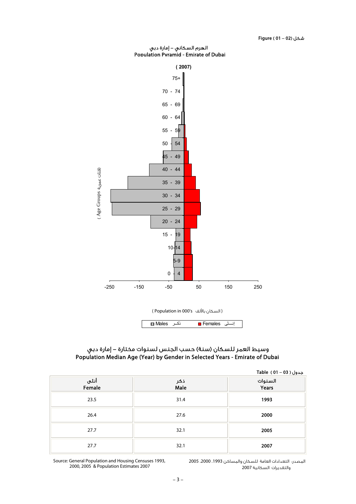#### الهرم السكاني - إمارة دبي Population Pyramid - Emirate of Dubai



إنــــثى Females ذآـــر Males

# وسيط العمر للسكان (سنة) حسب الجنس لسنوات مختارة - إمارة دبي Population Median Age (Year) by Gender in Selected Years - Emirate of Dubai

|                |             | جدول ( 03 – 01 ) Table |
|----------------|-------------|------------------------|
| أنثى<br>Female | ذكر<br>Male | السنوات<br>Years       |
| 23.5           | 31.4        | 1993                   |
| 26.4           | 27.6        | 2000                   |
| 27.7           | 32.1        | 2005                   |
| 27.7           | 32.1        | 2007                   |

Source: General Population and Housing Censuses 1993, 2000, 2005 & Population Estimates 2007

المصدر: التعدادات العامة للسكان والمساكن 1993، 2000، 2005 والتقديرات السكانية 2007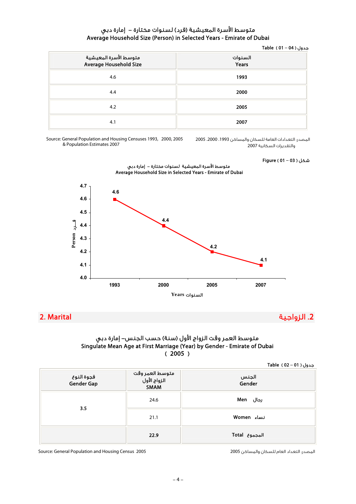# متوسط الأسرة المعيشية (فرد) لسنوات مختارة - إمارة دبي Average Household Size (Person) in Selected Years - Emirate of Dubai

#### جدول ( 04 **–** 01 ) Table

| متوسط الأسرة المعيشية<br>Average Household Size | السنوات<br>Years |
|-------------------------------------------------|------------------|
| 4.6                                             | 1993             |
| 4.4                                             | 2000             |
| 4.2                                             | 2005             |
| 4.1                                             | 2007             |

Source: General Population and Housing Censuses 1993, 2000, 2005 & Population Estimates 2007

المصدر: التعدادات العامة للسكان والمساكن 1993، 2000، 2005 والتقديرات السكانية 2007



 متوسط الأسرة المعيشية لسنوات مختارة - إمارة دبي Average Household Size in Selected Years - Emirate of Dubai



# متوسط العمر وقت الزواج الأول (سنة) حسب الجنس- إمارة دبي Singulate Mean Age at First Marriage (Year) by Gender - Emirate of Dubai ( 2005 )

جدول ( 01 **–** 02 ) Table

| فجوة النوع<br>Gender Gap | متوسط العمر وقت<br>الزواج الأول<br><b>SMAM</b> | الجنس<br>Gender |
|--------------------------|------------------------------------------------|-----------------|
|                          | 24.6                                           | رجال Men        |
| 3.5                      | 21.1                                           | Women نساء      |
|                          | 22.9                                           | المجموع Total   |

Source: General Population and Housing Census 2005 2005 والمساكن للسكان العام التعداد :المصدر

<sup>.</sup>2 الزواجية Marital 2.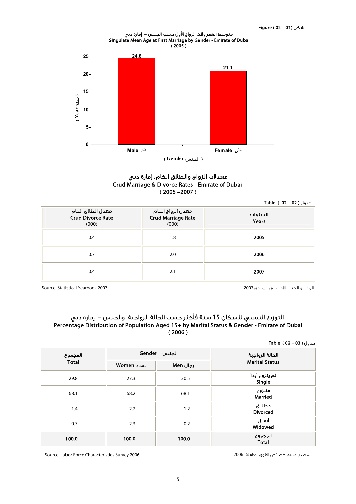#### متوسط العمر وقت الزواج الأول حسب الجنس – إمارة دبي<br>عمد Conder - Eirst Marriage by Gonder - Emirate ( 2005 ) Singulate Mean Age at First Marriage by Gender - Emirate of Dubai



# معدلات الزواج والطلاق الخام، إمارة دبي Crud Marriage & Divorce Rates - Emirate of Dubai  $(2005 - 2007)$

جدول ( 02 **–** 02 ) Table

| معدل الطلاق الخام<br>Crud Divorce Rate<br>(000) | معدل الزواج الخام<br>Crud Marriage Rate<br>(000) | السنوات<br>Years |
|-------------------------------------------------|--------------------------------------------------|------------------|
| 0.4                                             | 1.8                                              | 2005             |
| 0.7                                             | 2.0                                              | 2006             |
| 0.4                                             | 2.1                                              | 2007             |

المصدر: الكتاب الإحصائي السنوي 2007 2007 2007 2007 2007 2007 Source: Statistical Yearbook 2007

# التوزيع النسبي للسكان 15 سنة فأكثر حسب الحالة الزواجية والجنس - إمارة دبي Percentage Distribution of Population Aged 15+ by Marital Status & Gender - Emirate of Dubai ( 2006 )

جدول ( 03 **–** 02 ) Table

| المجموع      | Gender الجنس |          | الحالة الزواجية         |
|--------------|--------------|----------|-------------------------|
| <b>Total</b> | Women رنساء  | Nen رجال | <b>Marital Status</b>   |
| 29.8         | 27.3         | 30.5     | لم يتزوج أبدآ<br>Single |
| 68.1         | 68.2         | 68.1     | متـزوج<br>Married       |
| 1.4          | 2.2          | 1.2      | مطلق<br><b>Divorced</b> |
| 0.7          | 2.3          | 0.2      | أرمــل<br>Widowed       |
| 100.0        | 100.0        | 100.0    | المجموع<br><b>Total</b> |

المصدر: مسح خصائص القوى العاملة .2006 2006. Survey Characteristics Force Labor :Source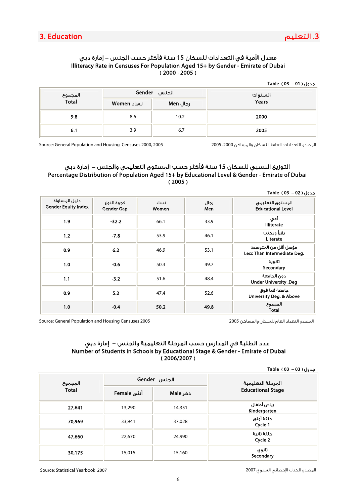# معدل الأمية في التعدادات للسكان 15 سنة فأكثر حسب الجنس - إمارة دبي Illiteracy Rate in Censuses For Population Aged 15+ by Gender - Emirate of Dubai ( 2000 ، 2005 )

#### جدول ( 01 **–** 03 ) Table

|                  | Gender الجنس |          |                  |
|------------------|--------------|----------|------------------|
| المجموع<br>Total | انساء Women  | رجال Men | السنوات<br>Years |
| 9.8              | 8.6          | 10.2     | 2000             |
| 6.1              | 3.9          | 6.7      | 2005             |

Source: General Population and Housing Censuses 2000, 2005 2005 ،2000 والمساكن للسكان العامة التعدادات :المصدر

# التوزيع النسبي للسكان 15 سنة فأكثر حسب المستوى التعليمي والجنس - إمارة دبي Percentage Distribution of Population Aged 15+ by Educational Level & Gender - Emirate of Dubai ( 2005 )

|  |  |  | Fable (03 – 02) |
|--|--|--|-----------------|
|--|--|--|-----------------|

| دليل المساواة<br><b>Gender Equity Index</b> | فجوة النوع<br><b>Gender Gap</b> | نساء<br>Women | رجال<br>Men | المستوى التعليمى<br><b>Educational Level</b>        |
|---------------------------------------------|---------------------------------|---------------|-------------|-----------------------------------------------------|
| 1.9                                         | $-32.2$                         | 66.1          | 33.9        | آمن<br><b>Illiterate</b>                            |
| 1.2                                         | $-7.8$                          | 53.9          | 46.1        | يقرأ ويكتب<br>Literate                              |
| 0.9                                         | 6.2                             | 46.9          | 53.1        | مؤهل أقل من المتوسط<br>Less Than Intermediate Deg.  |
| 1.0                                         | $-0.6$                          | 50.3          | 49.7        | ثانوية<br>Secondary                                 |
| 1.1                                         | $-3.2$                          | 51.6          | 48.4        | دون الحامعة<br><b>Under University .Deg</b>         |
| 0.9                                         | 5.2                             | 47.4          | 52.6        | جامعة فما فوق<br><b>University Deg. &amp; Above</b> |
| 1.0                                         | $-0.4$                          | 50.2          | 49.8        | المجموع<br><b>Total</b>                             |

Source: General Population and Housing Censuses 2005 2005 والمساكن للسكان العام التعداد :المصدر

## عدد الطلبة في المدارس حسب المرحلة التعليمية والجنس - إمارة دبي Number of Students in Schools by Educational Stage & Gender - Emirate of Dubai ( 2006/2007 )

جدول ( 03 **–** 03 ) Table

| المجموع      |             | Gender الجنس | المرحلة التعليمية          |
|--------------|-------------|--------------|----------------------------|
| <b>Total</b> | أنثى Female | ذكر Male     | <b>Educational Stage</b>   |
| 27,641       | 13,290      | 14,351       | رياض أطفال<br>Kindergarten |
| 70,969       | 33,941      | 37,028       | حلقة أولى<br>Cycle 1       |
| 47,660       | 22,670      | 24,990       | حلقة ثانية<br>Cycle 2      |
| 30,175       | 15,015      | 15,160       | تانوي<br>Secondary         |

المصدر: الكتاب الإحصائي السنوي 2007 2007 Yearbook Statistical :Source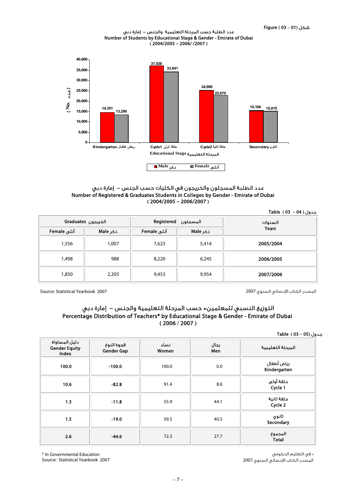#### عدد الطلبة حسب المرحلة التعليمية والجنس - إمارة دبي Number of Students by Educational Stage & Gender - Emirate of Dubai  $(2004/2005 - 2006/72007)$



#### عدد الطلبة المسجلون والخريجون في الكليات حسب الجنس - إمارة دبي Number of Registered & Graduates Students in Colleges by Gender - Emirate of Dubai  $(2004/2005 - 2006/2007)$

جدول ( 04 **–** 03 ) Table

|             | الخريجون Graduates | المسجلون Registered |          | السنوات   |  |
|-------------|--------------------|---------------------|----------|-----------|--|
| أنٹو Female | ذكر Male           | أنثى Female         | ذكر Male | Years     |  |
| 1,556       | 1,007              | 7,623               | 5,414    | 2005/2004 |  |
| 1,498       | 988                | 8,220               | 6,245    | 2006/2005 |  |
| 1,850       | 2,205              | 9,453               | 9,954    | 2007/2006 |  |

المصدر: الكتاب الإحصائي السنوي 2007 2007 2007 2007 2007 2007 Source: Statistical Yearbook 2007

# التوزيع النسبي للمعلمين $\bullet$  حسب المرحلة التعليمية والجنس – إمارة دبي Percentage Distribution of Teachers\* by Educational Stage & Gender - Emirate of Dubai ( 2006 **/** 2007 )

#### جدول (05 **–** 03 ) Table

| دليل المساواة<br><b>Gender Equity</b><br>Index | فجوة النوع<br><b>Gender Gap</b> | نساء<br>Women | رجال<br>Men | المرحلة التعليمية          |
|------------------------------------------------|---------------------------------|---------------|-------------|----------------------------|
| 100.0                                          | $-100.0$                        | 100.0         | 0.0         | رياض أطفال<br>Kindergarten |
| 10.6                                           | $-82.8$                         | 91.4          | 8.6         | حلقة أولى<br>Cycle 1       |
| 1.3                                            | $-11.8$                         | 55.9          | 44.1        | حلقة ثانية<br>Cycle 2      |
| 1.5                                            | $-19.0$                         | 59.5          | 40.5        | ثانوي<br>Secondary         |
| 2.6                                            | $-44.6$                         | 72.3          | 27.7        | المجموع<br><b>Total</b>    |

\* In Governmental Education

Source: Statistical Yearbook 2007

@ في التعليم الحكومي

المصدر: الكتاب الإحصائي السنوي 2007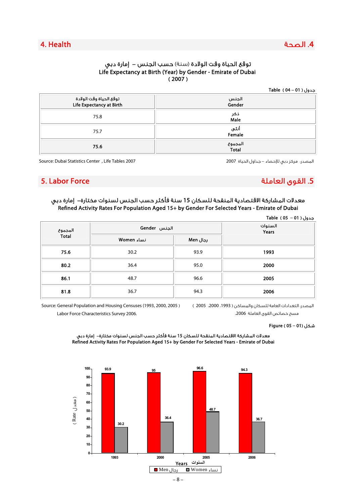

# توقع الحياة وقت الولادة (سنة) حسب الجنس - إمارة دبي Life Expectancy at Birth (Year) by Gender - Emirate of Dubai ( 2007 )

#### جدول ( 01 **–** 04 ) Table

| توقع الحياة وقت الولادة<br>Life Expectancy at Birth | الجنس<br>Gender  |
|-----------------------------------------------------|------------------|
| 75.8                                                | ذكر<br>Male      |
| 75.7                                                | أنٹى<br>Female   |
| 75.6                                                | المجموع<br>Total |

المصدر: مركز دبي للإحصاء – جداول الحياة 2007 2007 2007 2007 2007 2007 2007 Source: Dubai Statistics Center , Life Tables 2007

# .5 القوى العاملة Force Labor 5.

# معدلات المشاركة الاقتصادية المنقحة للسكان 15 سنة فأكثر حسب الجنس لسنوات مختارة- إمارة دبي Refined Activity Rates For Population Aged 15+ by Gender For Selected Years - Emirate of Dubai

|              |              |                  | - جدول ( 01 – 05 ) Table |
|--------------|--------------|------------------|--------------------------|
| المجموع      | الجنس Gender | السنوات<br>Years |                          |
| <b>Total</b> | Women ساء    | Nen رجال         |                          |
| 75.6         | 30.2         | 93.9             | 1993                     |
| 80.2         | 36.4         | 95.0             | 2000                     |
| 86.1         | 48.7         | 96.6             | 2005                     |
| 81.8         | 36.7         | 94.3             | 2006                     |

 Source: General Population and Housing Censuses (1993, 2000, 2005 ) ( 2005 ،2000 ،1993 ) والمساكن للسكان العامة التعدادات :المصدر مسح خصائص القوى العاملة .2006 2006. Survey Characteristics Force Labor

### شكل (01 **–** 05 ) Figure



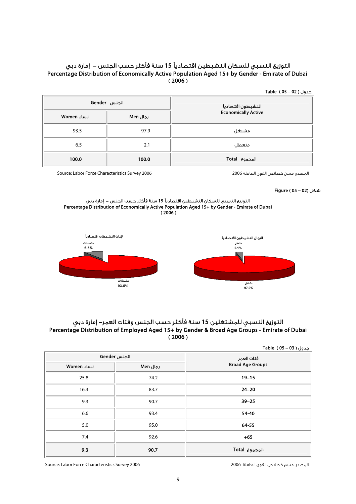# التوزيع النسبي للسكان النشيطين اقتصادياً 15 سنة فأكثر حسب الجنس - إمارة دبي Percentage Distribution of Economically Active Population Aged 15+ by Gender - Emirate of Dubai ( 2006 )

#### جدول ( 02 **–** 05 ) Table

| الجنس Gender |           | النشيطون اقتصاديأ          |  |
|--------------|-----------|----------------------------|--|
| Women نساء   | ارجال Men | <b>Economically Active</b> |  |
| 93.5         | 97.9      | مشتغل                      |  |
| 6.5          | 2.1       | متعطل                      |  |
| 100.0        | 100.0     | المجموع Total              |  |

Source: Labor Force Characteristics Survey 2006

المصدر؛ مسح خصائص القوى العاملة 2006

شكل (02 **–** 05 ) Figure

 التوزيع النسبي للسكان النشيطين اقتصادياً 15 سنة فأكثر حسب الجنس - إمارة دبي Percentage Distribution of Economically Active Population Aged 15+ by Gender - Emirate of Dubai ( 2006 )



# التوزيع النسبي للمشتغلين 15 سنة فأكثر حسب الجنس وفئات العمر- إمارة دبي Percentage Distribution of Employed Aged 15+ by Gender & Broad Age Groups - Emirate of Dubai ( 2006 )

|              |          | Fable (05 - 03)         |
|--------------|----------|-------------------------|
| الجنس Gender |          | فئات العمر              |
| نساء Women   | رجال Men | <b>Broad Age Groups</b> |
| 25.8         | 74.2     | $19 - 15$               |
| 16.3         | 83.7     | $24 - 20$               |
| 9.3          | 90.7     | $39 - 25$               |
| 6.6          | 93.4     | 54-40                   |
| 5.0          | 95.0     | 64-55                   |
| 7.4          | 92.6     | $+65$                   |
| 9.3          | 90.7     | المجموع Total           |

المصدر: مسح خصائص القوى العاملة 2006 2006 Survey Characteristics Force Labor :Source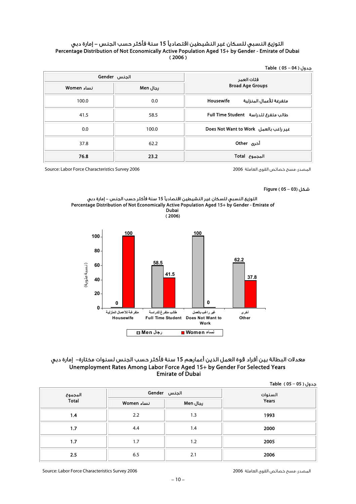### التوزيع النسبي للسكان غير النشيطين اقتصادياً 15 سنة فأكثر حسب الجنس - إمارة دبي Percentage Distribution of Not Economically Active Population Aged 15+ by Gender - Emirate of Dubai ( 2006 )

جدول ( 04 **–** 05 ) Table

| Gender الجنس |          | فئات العمر                            |
|--------------|----------|---------------------------------------|
| Women رلساء  | رجال Men | <b>Broad Age Groups</b>               |
| 100.0        | 0.0      | متفرغة للأعمال المنزلية<br>Housewife  |
| 41.5         | 58.5     | طالب متفرغ للدراسة Full Time Student  |
| 0.0          | 100.0    | Does Not Want to Work فير راغب بالعمل |
| 37.8         | 62.2     | أخرى Other                            |
| 76.8         | 23.2     | المجموع Total                         |

المصدر: مسح خصائص القوى العاملة 2006 2006 Survey Characteristics Force Labor :Source

شكل (03 **–** 05 ) Figure





## معدلات البطالة بين أفراد قوة العمل الذين أعمارهم 15 سنة فأكثر حسب الجنس لسنوات مختارة- إمارة دبي Unemployment Rates Among Labor Force Aged 15+ by Gender For Selected Years Emirate of Dubai

جدول ( 05 **–** 05 ) Table

|                  |             |              | $1400 \times 102$ $02109$ |
|------------------|-------------|--------------|---------------------------|
| المجموع<br>Total |             | الجنس Gender | السنوات<br>Years          |
|                  | انساء Women | رجال Men     |                           |
| 1.4              | 2.2         | 1.3          | 1993                      |
| 1.7              | 4.4         | 1.4          | 2000                      |
| 1.7              | 1.7         | 1.2          | 2005                      |
| 2.5              | 6.5         | 2.1          | 2006                      |

المصدر: مسح خصائص القوى العاملة 2006 2006 Survey Characteristics Force Labor :Source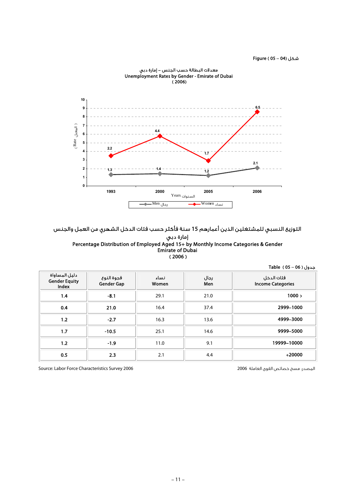شكل (04 **–** 05 ) Figure



#### معدلات البطالة حسب الجنس - إمارة دبي Unemployment Rates by Gender - Emirate of Dubai ( 2006)

### التوزيع النسبي للمشتغلين الذين أعمارهم 15 سنة فأكثر حسب فئات الدخل الشهري من العمل والجنس إمارة دبي Percentage Distribution of Employed Aged 15+ by Monthly Income Categories & Gender Emirate of Dubai ( 2006 )

|                                                |                                 |               |             | جدول ( 06 – 05 ) Table                 |
|------------------------------------------------|---------------------------------|---------------|-------------|----------------------------------------|
| دليل المساواة<br><b>Gender Equity</b><br>Index | فجوة النوع<br><b>Gender Gap</b> | نساء<br>Women | رجال<br>Men | فئات الدخل<br><b>Income Categories</b> |
| 1.4                                            | $-8.1$                          | 29.1          | 21.0        | 1000 >                                 |
| 0.4                                            | 21.0                            | 16.4          | 37.4        | 2999-1000                              |
| 1.2                                            | $-2.7$                          | 16.3          | 13.6        | 4999-3000                              |
| 1.7                                            | $-10.5$                         | 25.1          | 14.6        | 9999-5000                              |
| 1.2                                            | $-1.9$                          | 11.0          | 9.1         | 19999-10000                            |
| 0.5                                            | 2.3                             | 2.1           | 4.4         | $+20000$                               |

المصدر: مسح خصائص القوى العاملة 2006 2006 Survey Characteristics Force Labor :Source